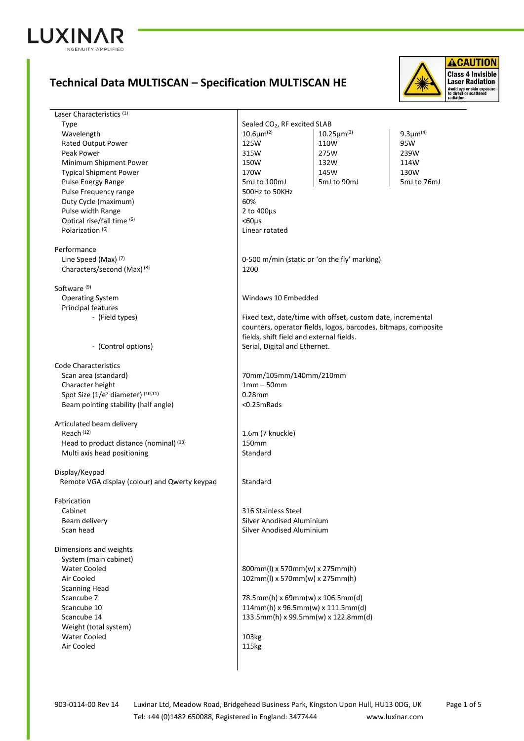

## **Technical Data MULTISCAN – Specification MULTISCAN HE**



Laser Characteristics<sup>(1)</sup> Type Sealed CO<sub>2</sub>, RF excited SLAB<br>  $\begin{array}{|l|l|}\n\hline\n\text{Scaled CO}_2, & \text{RF excited SLAB} \\
\hline\n10.6\text{µm}^{(2)} & 10.25\text{µm}^{(3)}\n\end{array}$  $W$ avelength  $10.6$ μm<sup>(2)</sup> 9.3μm(4) Rated Output Power **125W** 125W 110W 95W Peak Power 315W 275W 239W Minimum Shipment Power 150W 132W 132W 114W Typical Shipment Power  $\begin{array}{|c|c|c|c|c|c|}\n\hline\n\text{Typical Shipment Power} & \text{130W} & \text{145W} & \text{130W} \\
\text{Pulse Energy Range} & \text{SmJ to 100mJ} & \text{5mJ to 90mJ} & \text{5mJ to 100mJ}\n\hline\n\end{array}$ Pulse Energy Range The State of the State of SmJ to 100mJ 5mJ to 90mJ 5mJ to 76mJ Pulse Frequency range  $\vert$  500Hz to 50KHz Duty Cycle (maximum) 60% Pulse width Range 2 to 400μs Optical rise/fall time  $(5)$   $\sim$  60μs Polarization (6) 2001 - 2012 - 2022 10:30 Polarization (6) Performance Line Speed (Max) (7) **Details a support of the speed (Max)** (1) 0-500 m/min (static or 'on the fly' marking) Characters/second (Max) <sup>(8)</sup> 1200 Software (9) Operating System **Windows 10 Embedded**  Principal features - (Field types) Fixed text, date/time with offset, custom date, incremental counters, operator fields, logos, barcodes, bitmaps, composite fields, shift field and external fields. - (Control options) Serial, Digital and Ethernet. Code Characteristics Scan area (standard) 70mm/105mm/140mm/210mm Character height 1mm – 50mm Spot Size (1/e<sup>2</sup> diameter)<sup>(10,11)</sup> 0.28mm Beam pointing stability (half angle)  $\sim$  0.25mRads Articulated beam delivery Reach<sup>(12)</sup> Reach<sup>(12)</sup> 1.6m (7 knuckle) Head to product distance (nominal)<sup>(13)</sup> 150mm Multi axis head positioning and standard Display/Keypad Remote VGA display (colour) and Qwerty keypad Standard Fabrication Cabinet 2012 10:00 2012 13:00 2012 13:00 316 Stainless Steel Beam delivery **Silver Anodised Aluminium**  Scan head Silver Anodised Aluminium Dimensions and weights System (main cabinet) Water Cooled 800mm(l) x 570mm(w) x 275mm(h) Air Cooled 102mm(l) x 570mm(w) x 275mm(h) Scanning Head Scancube 7 78.5mm(h) x 69mm(w) x 106.5mm(d) Scancube 10 114mm(h) x 96.5mm(w) x 111.5mm(d) Scancube 14 133.5mm(h) x 99.5mm(w) x 122.8mm(d) Weight (total system) Water Cooled 2008 | 103kg Air Cooled 2015 115kg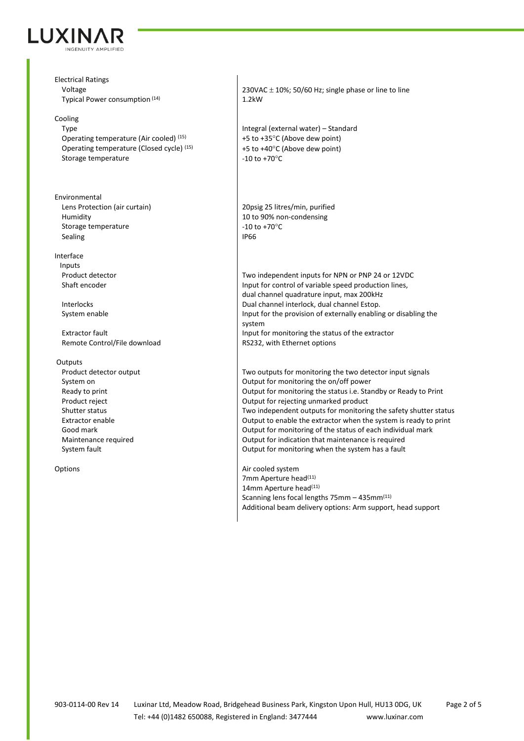

Electrical Ratings Typical Power consumption (14) 1.2kW

## Cooling

Operating temperature (Air cooled)  $^{(15)}$   $+5$  to +35°C (Above dew point) Operating temperature (Closed cycle)<sup>(15)</sup>  $+5$  to +40°C (Above dew point) Storage temperature  $\vert$  -10 to +70°C

Environmental Lens Protection (air curtain) 20psig 25 litres/min, purified Humidity 10 to 90% non-condensing Storage temperature  $\vert$  -10 to +70°C Sealing IP66

## Interface

Inputs<br>Product detector

Remote Control/File download RS232, with Ethernet options

## **Outputs**

Voltage 230VAC ± 10%; 50/60 Hz; single phase or line to line

Type Integral (external water) – Standard

Product detector **Two independent inputs for NPN or PNP 24 or 12VDC**<br>Shaft encoder **Two inputs for Control of Variable speed production lines.** Input for control of variable speed production lines, dual channel quadrature input, max 200kHz Interlocks Dual channel interlock, dual channel Estop. System enable Input for the provision of externally enabling or disabling the system Extractor fault Input for monitoring the status of the extractor

Product detector output **TWO** outputs for monitoring the two detector input signals System on  $\Box$  Output for monitoring the on/off power Ready to print **Example 20** The Standard Coutput for monitoring the status i.e. Standby or Ready to Print Product reject **COUTF FOUTFION COUPS** Output for rejecting unmarked product Shutter status Two independent outputs for monitoring the safety shutter status Shutter status Extractor enable Output to enable the extractor when the system is ready to print Good mark **Communist Equipment Contract Conduct** Dutput for monitoring of the status of each individual mark Maintenance required Output for indication that maintenance is required System fault **Container in the system fault** Output for monitoring when the system has a fault

Options and Options and Options and Options and Options and Options and Options and Options and Options and Options and Options and Options and Options and Options and Options and Options and Options and Options and Option 7mm Aperture head<sup>(11)</sup> 14mm Aperture head<sup>(11)</sup> Scanning lens focal lengths 75mm – 435mm(11) Additional beam delivery options: Arm support, head support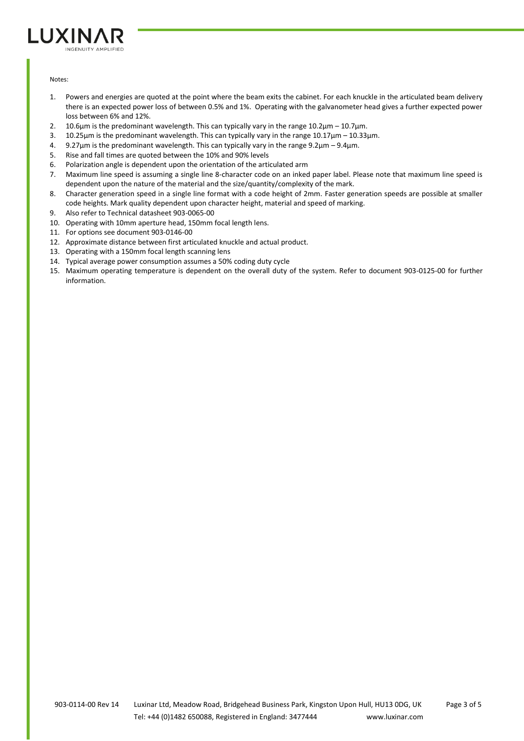

Notes:

- 1. Powers and energies are quoted at the point where the beam exits the cabinet. For each knuckle in the articulated beam delivery there is an expected power loss of between 0.5% and 1%. Operating with the galvanometer head gives a further expected power loss between 6% and 12%.
- 2. 10.6μm is the predominant wavelength. This can typically vary in the range 10.2μm 10.7μm.
- 3. 10.25μm is the predominant wavelength. This can typically vary in the range 10.17μm 10.33μm.
- 4. 9.27μm is the predominant wavelength. This can typically vary in the range 9.2μm 9.4μm.
- 5. Rise and fall times are quoted between the 10% and 90% levels
- 6. Polarization angle is dependent upon the orientation of the articulated arm
- 7. Maximum line speed is assuming a single line 8-character code on an inked paper label. Please note that maximum line speed is dependent upon the nature of the material and the size/quantity/complexity of the mark.
- 8. Character generation speed in a single line format with a code height of 2mm. Faster generation speeds are possible at smaller code heights. Mark quality dependent upon character height, material and speed of marking.
- 9. Also refer to Technical datasheet 903-0065-00
- 10. Operating with 10mm aperture head, 150mm focal length lens.
- 11. For options see document 903-0146-00
- 12. Approximate distance between first articulated knuckle and actual product.
- 13. Operating with a 150mm focal length scanning lens
- 14. Typical average power consumption assumes a 50% coding duty cycle
- 15. Maximum operating temperature is dependent on the overall duty of the system. Refer to document 903-0125-00 for further information.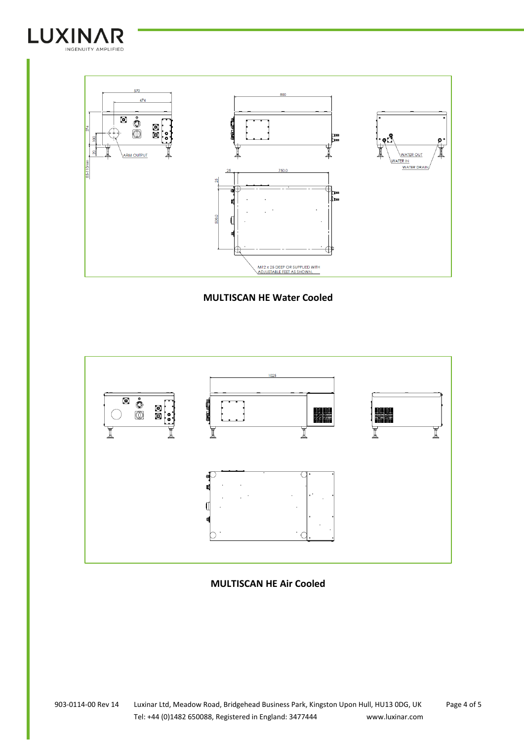



**MULTISCAN HE Water Cooled**



**MULTISCAN HE Air Cooled**